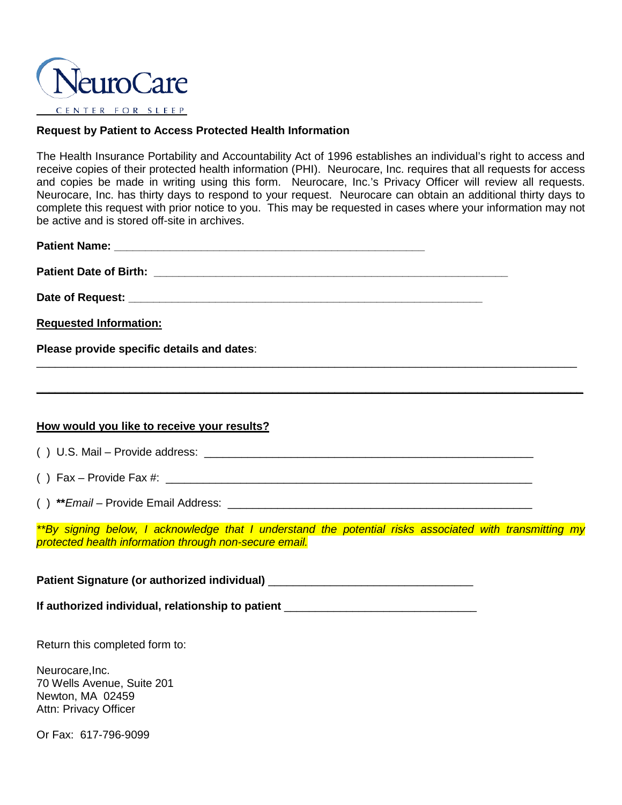

## **Request by Patient to Access Protected Health Information**

The Health Insurance Portability and Accountability Act of 1996 establishes an individual's right to access and receive copies of their protected health information (PHI). Neurocare, Inc. requires that all requests for access and copies be made in writing using this form. Neurocare, Inc.'s Privacy Officer will review all requests. Neurocare, Inc. has thirty days to respond to your request. Neurocare can obtain an additional thirty days to complete this request with prior notice to you. This may be requested in cases where your information may not be active and is stored off-site in archives.

| <b>Requested Information:</b>                                                                                                                                     |  |  |  |
|-------------------------------------------------------------------------------------------------------------------------------------------------------------------|--|--|--|
| Please provide specific details and dates:                                                                                                                        |  |  |  |
|                                                                                                                                                                   |  |  |  |
|                                                                                                                                                                   |  |  |  |
| How would you like to receive your results?                                                                                                                       |  |  |  |
|                                                                                                                                                                   |  |  |  |
|                                                                                                                                                                   |  |  |  |
|                                                                                                                                                                   |  |  |  |
| **By signing below, I acknowledge that I understand the potential risks associated with transmitting my<br>protected health information through non-secure email. |  |  |  |
| Patient Signature (or authorized individual) ___________________________________                                                                                  |  |  |  |
| If authorized individual, relationship to patient ______________________________                                                                                  |  |  |  |

Return this completed form to:

Neurocare, Inc. 70 Wells Avenue, Suite 201 Newton, MA 02459 Attn: Privacy Officer

Or Fax: 617-796-9099